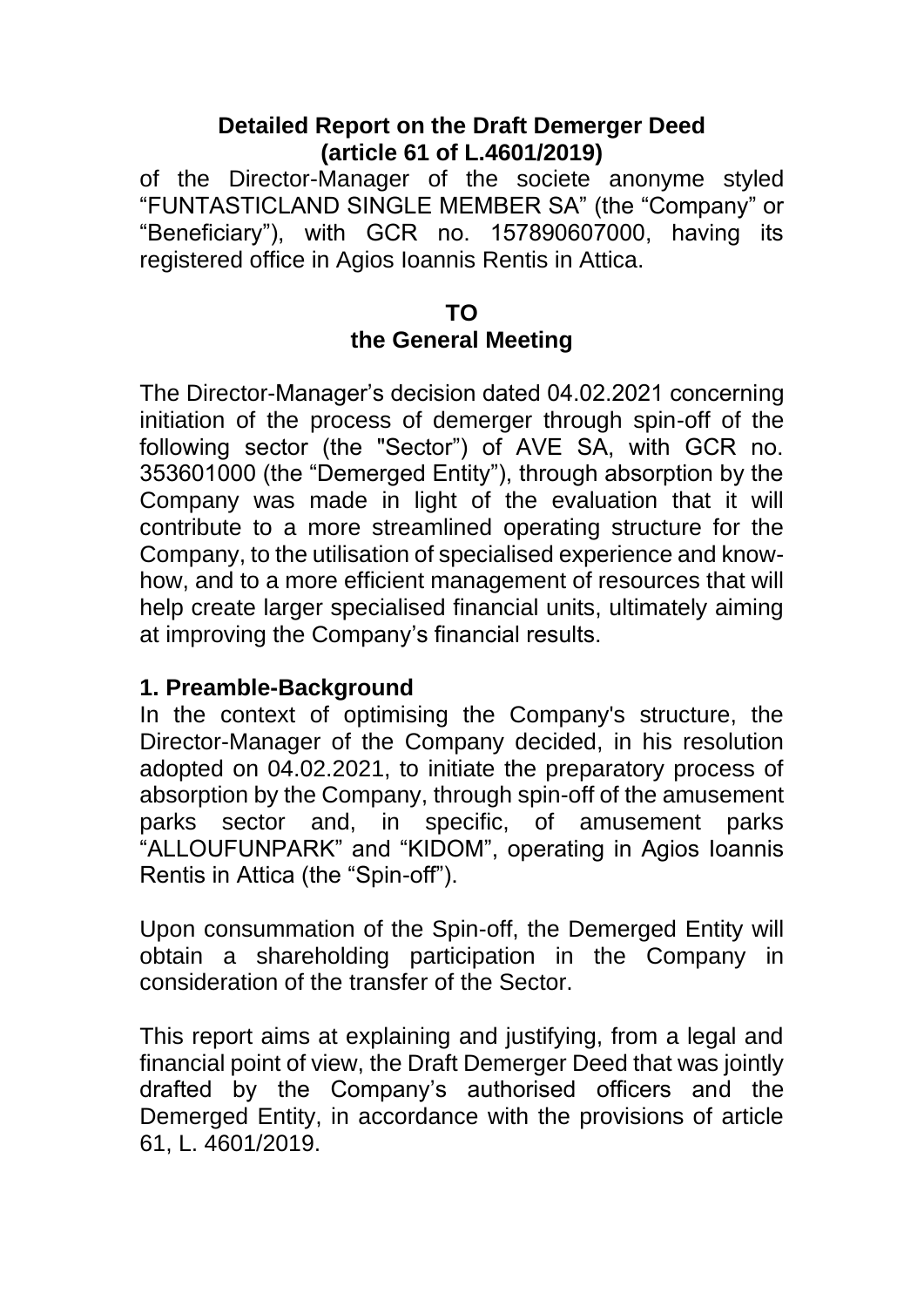#### **Detailed Report on the Draft Demerger Deed (article 61 of L.4601/2019)**

of the Director-Manager of the societe anonyme styled "FUNTASTICLAND SINGLE MEMBER SA" (the "Company" or "Beneficiary"), with GCR no. 157890607000, having its registered office in Agios Ioannis Rentis in Attica.

#### **TO**

#### **the General Meeting**

The Director-Manager's decision dated 04.02.2021 concerning initiation of the process of demerger through spin-off of the following sector (the "Sector") of AVE SA, with GCR no. 353601000 (the "Demerged Entity"), through absorption by the Company was made in light of the evaluation that it will contribute to a more streamlined operating structure for the Company, to the utilisation of specialised experience and knowhow, and to a more efficient management of resources that will help create larger specialised financial units, ultimately aiming at improving the Company's financial results.

#### **1. Preamble-Background**

In the context of optimising the Company's structure, the Director-Manager of the Company decided, in his resolution adopted on 04.02.2021, to initiate the preparatory process of absorption by the Company, through spin-off of the amusement parks sector and, in specific, of amusement parks "ALLOUFUNPARK" and "KIDOM", operating in Agios Ioannis Rentis in Attica (the "Spin-off").

Upon consummation of the Spin-off, the Demerged Entity will obtain a shareholding participation in the Company in consideration of the transfer of the Sector.

This report aims at explaining and justifying, from a legal and financial point of view, the Draft Demerger Deed that was jointly drafted by the Company's authorised officers and the Demerged Entity, in accordance with the provisions of article 61, L. 4601/2019.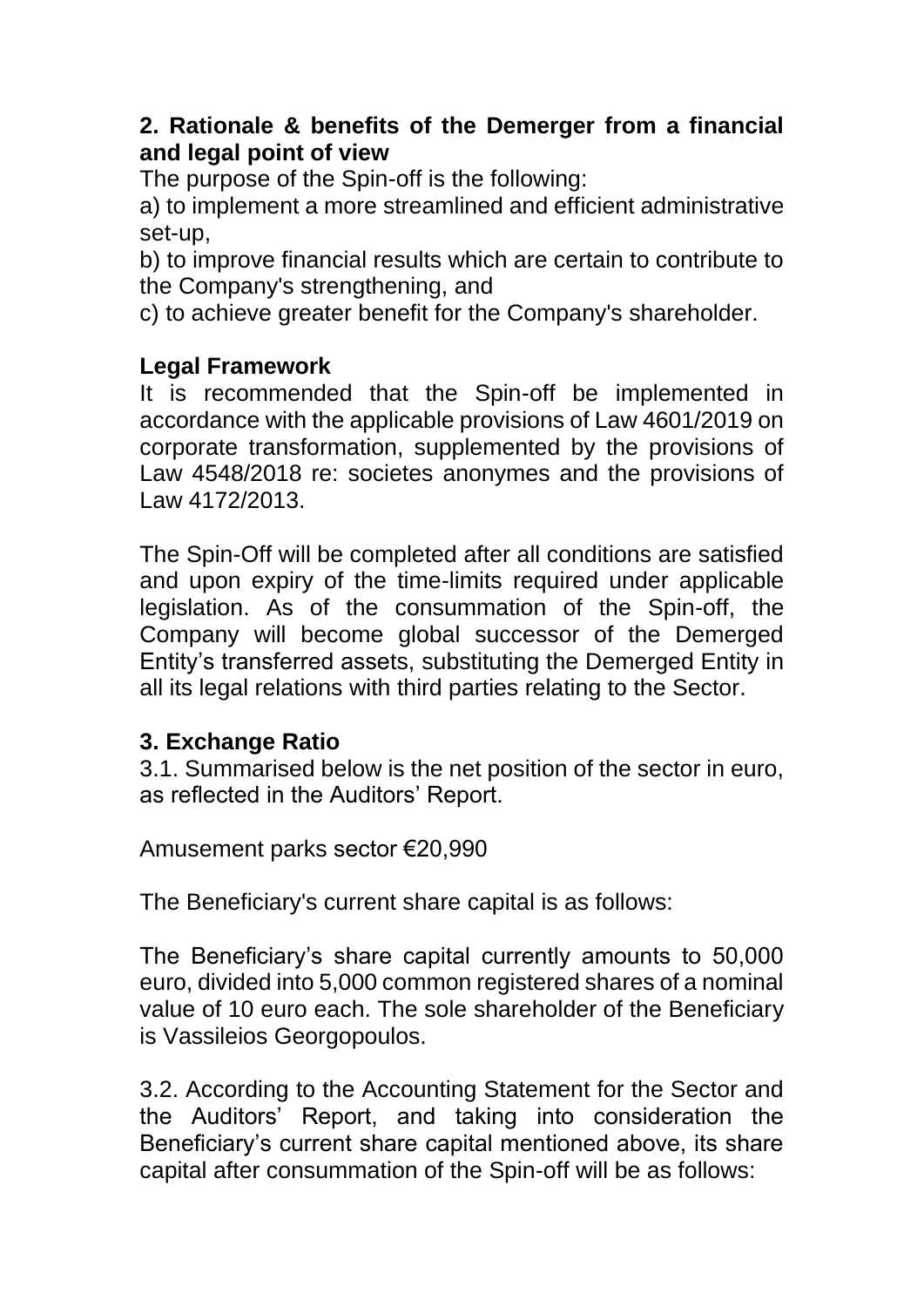### **2. Rationale & benefits of the Demerger from a financial and legal point of view**

The purpose of the Spin-off is the following:

a) to implement a more streamlined and efficient administrative set-up,

b) to improve financial results which are certain to contribute to the Company's strengthening, and

c) to achieve greater benefit for the Company's shareholder.

## **Legal Framework**

It is recommended that the Spin-off be implemented in accordance with the applicable provisions of Law 4601/2019 on corporate transformation, supplemented by the provisions of Law 4548/2018 re: societes anonymes and the provisions of Law 4172/2013.

The Spin-Off will be completed after all conditions are satisfied and upon expiry of the time-limits required under applicable legislation. As of the consummation of the Spin-off, the Company will become global successor of the Demerged Entity's transferred assets, substituting the Demerged Entity in all its legal relations with third parties relating to the Sector.

### **3. Exchange Ratio**

3.1. Summarised below is the net position of the sector in euro, as reflected in the Auditors' Report.

Amusement parks sector €20,990

The Beneficiary's current share capital is as follows:

The Beneficiary's share capital currently amounts to 50,000 euro, divided into 5,000 common registered shares of a nominal value of 10 euro each. The sole shareholder of the Beneficiary is Vassileios Georgopoulos.

3.2. According to the Accounting Statement for the Sector and the Auditors' Report, and taking into consideration the Beneficiary's current share capital mentioned above, its share capital after consummation of the Spin-off will be as follows: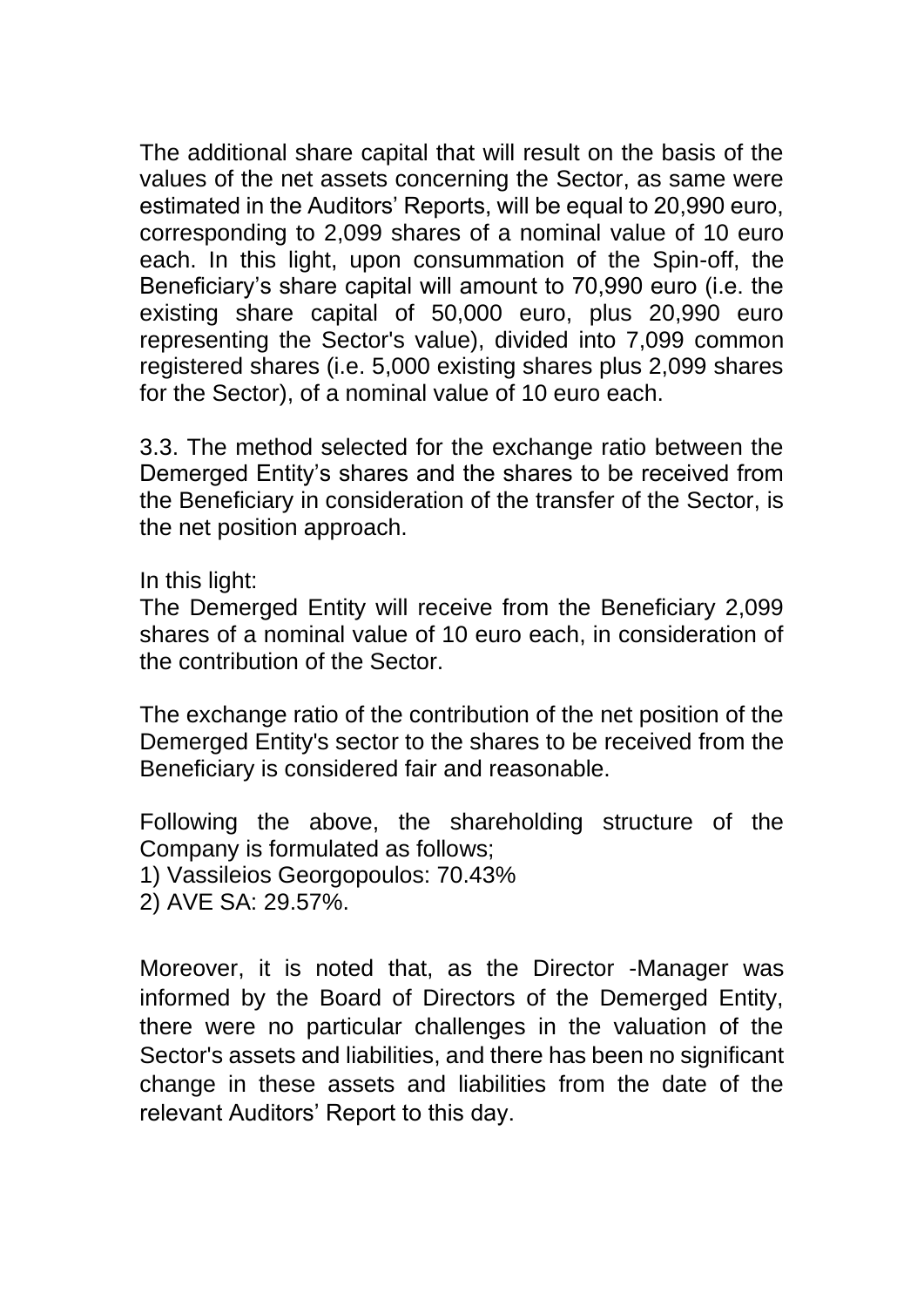The additional share capital that will result on the basis of the values of the net assets concerning the Sector, as same were estimated in the Auditors' Reports, will be equal to 20,990 euro, corresponding to 2,099 shares of a nominal value of 10 euro each. In this light, upon consummation of the Spin-off, the Beneficiary's share capital will amount to 70,990 euro (i.e. the existing share capital of 50,000 euro, plus 20,990 euro representing the Sector's value), divided into 7,099 common registered shares (i.e. 5,000 existing shares plus 2,099 shares for the Sector), of a nominal value of 10 euro each.

3.3. The method selected for the exchange ratio between the Demerged Entity's shares and the shares to be received from the Beneficiary in consideration of the transfer of the Sector, is the net position approach.

In this light:

The Demerged Entity will receive from the Beneficiary 2,099 shares of a nominal value of 10 euro each, in consideration of the contribution of the Sector.

The exchange ratio of the contribution of the net position of the Demerged Entity's sector to the shares to be received from the Beneficiary is considered fair and reasonable.

Following the above, the shareholding structure of the Company is formulated as follows;

1) Vassileios Georgopoulos: 70.43%

2) AVE SA: 29.57%.

Moreover, it is noted that, as the Director -Manager was informed by the Board of Directors of the Demerged Entity, there were no particular challenges in the valuation of the Sector's assets and liabilities, and there has been no significant change in these assets and liabilities from the date of the relevant Auditors' Report to this day.